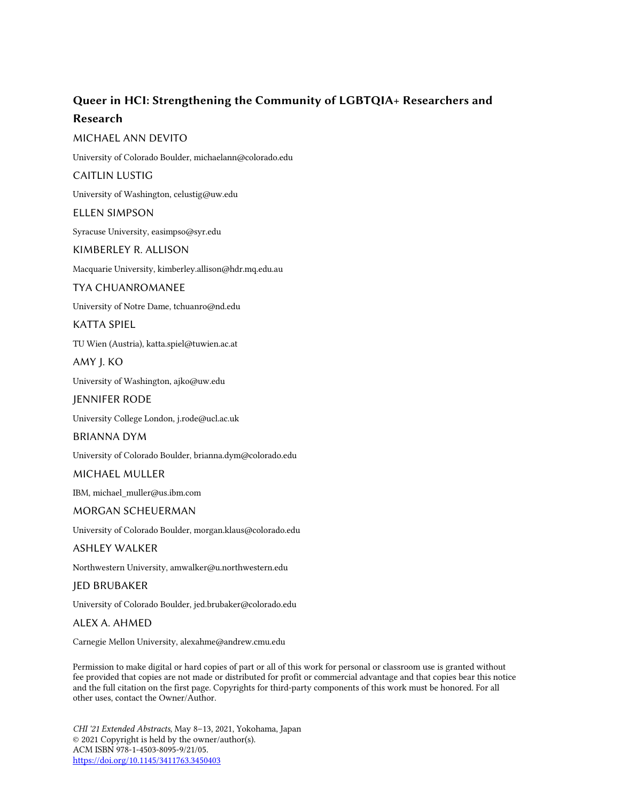# Queer in HCI: Strengthening the Community of LGBTQIA+ Researchers and Research

# MICHAEL ANN DEVITO

University of Colorado Boulder, michaelann@colorado.edu

## CAITLIN LUSTIG

University of Washington, celustig@uw.edu

## ELLEN SIMPSON

Syracuse University, easimpso@syr.edu

# KIMBERLEY R. ALLISON

Macquarie University, kimberley.allison@hdr.mq.edu.au

## TYA CHUANROMANEE

University of Notre Dame, tchuanro@nd.edu

# KATTA SPIEL

TU Wien (Austria), katta.spiel@tuwien.ac.at

# AMY J. KO

University of Washington, ajko@uw.edu

# JENNIFER RODE

University College London, j.rode@ucl.ac.uk

## BRIANNA DYM

University of Colorado Boulder, brianna.dym@colorado.edu

# MICHAEL MULLER

IBM, michael\_muller@us.ibm.com

## MORGAN SCHEUERMAN

University of Colorado Boulder, morgan.klaus@colorado.edu

## ASHLEY WALKER

Northwestern University, amwalker@u.northwestern.edu

## JED BRUBAKER

University of Colorado Boulder, jed.brubaker@colorado.edu

## ALEX A. AHMED

Carnegie Mellon University, alexahme@andrew.cmu.edu

Permission to make digital or hard copies of part or all of this work for personal or classroom use is granted without fee provided that copies are not made or distributed for profit or commercial advantage and that copies bear this notice and the full citation on the first page. Copyrights for third-party components of this work must be honored. For all other uses, contact the Owner/Author.

*CHI '21 Extended Abstracts*, May 8–13, 2021, Yokohama, Japan © 2021 Copyright is held by the owner/author(s). ACM ISBN 978-1-4503-8095-9/21/05. https://doi.org/10.1145/3411763.3450403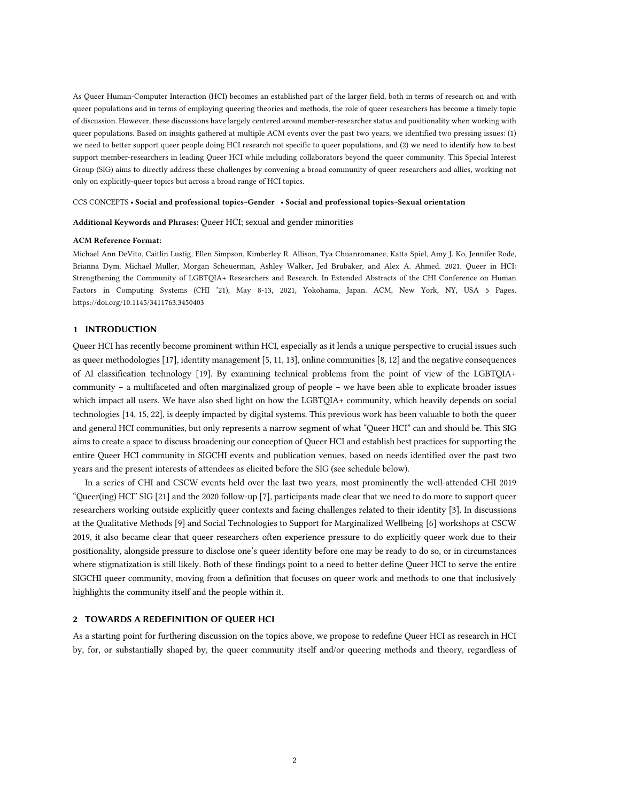As Queer Human-Computer Interaction (HCI) becomes an established part of the larger field, both in terms of research on and with queer populations and in terms of employing queering theories and methods, the role of queer researchers has become a timely topic of discussion. However, these discussions have largely centered around member-researcher status and positionality when working with queer populations. Based on insights gathered at multiple ACM events over the past two years, we identified two pressing issues: (1) we need to better support queer people doing HCI research not specific to queer populations, and (2) we need to identify how to best support member-researchers in leading Queer HCI while including collaborators beyond the queer community. This Special Interest Group (SIG) aims to directly address these challenges by convening a broad community of queer researchers and allies, working not only on explicitly-queer topics but across a broad range of HCI topics.

#### CCS CONCEPTS • Social and professional topics~Gender • Social and professional topics~Sexual orientation

Additional Keywords and Phrases: Queer HCI; sexual and gender minorities

#### ACM Reference Format:

Michael Ann DeVito, Caitlin Lustig, Ellen Simpson, Kimberley R. Allison, Tya Chuanromanee, Katta Spiel, Amy J. Ko, Jennifer Rode, Brianna Dym, Michael Muller, Morgan Scheuerman, Ashley Walker, Jed Brubaker, and Alex A. Ahmed. 2021. Queer in HCI: Strengthening the Community of LGBTQIA+ Researchers and Research. In Extended Abstracts of the CHI Conference on Human Factors in Computing Systems (CHI '21), May 8-13, 2021, Yokohama, Japan. ACM, New York, NY, USA 5 Pages. https://doi.org/10.1145/3411763.3450403

#### 1 INTRODUCTION

Queer HCI has recently become prominent within HCI, especially as it lends a unique perspective to crucial issues such as queer methodologies [17], identity management [5, 11, 13], online communities [8, 12] and the negative consequences of AI classification technology [19]. By examining technical problems from the point of view of the LGBTQIA+ community – a multifaceted and often marginalized group of people – we have been able to explicate broader issues which impact all users. We have also shed light on how the LGBTQIA+ community, which heavily depends on social technologies [14, 15, 22], is deeply impacted by digital systems. This previous work has been valuable to both the queer and general HCI communities, but only represents a narrow segment of what "Queer HCI" can and should be. This SIG aims to create a space to discuss broadening our conception of Queer HCI and establish best practices for supporting the entire Queer HCI community in SIGCHI events and publication venues, based on needs identified over the past two years and the present interests of attendees as elicited before the SIG (see schedule below).

In a series of CHI and CSCW events held over the last two years, most prominently the well-attended CHI 2019 "Queer(ing) HCI" SIG [21] and the 2020 follow-up [7], participants made clear that we need to do more to support queer researchers working outside explicitly queer contexts and facing challenges related to their identity [3]. In discussions at the Qualitative Methods [9] and Social Technologies to Support for Marginalized Wellbeing [6] workshops at CSCW 2019, it also became clear that queer researchers often experience pressure to do explicitly queer work due to their positionality, alongside pressure to disclose one's queer identity before one may be ready to do so, or in circumstances where stigmatization is still likely. Both of these findings point to a need to better define Queer HCI to serve the entire SIGCHI queer community, moving from a definition that focuses on queer work and methods to one that inclusively highlights the community itself and the people within it.

#### 2 TOWARDS A REDEFINITION OF QUEER HCI

As a starting point for furthering discussion on the topics above, we propose to redefine Queer HCI as research in HCI by, for, or substantially shaped by, the queer community itself and/or queering methods and theory, regardless of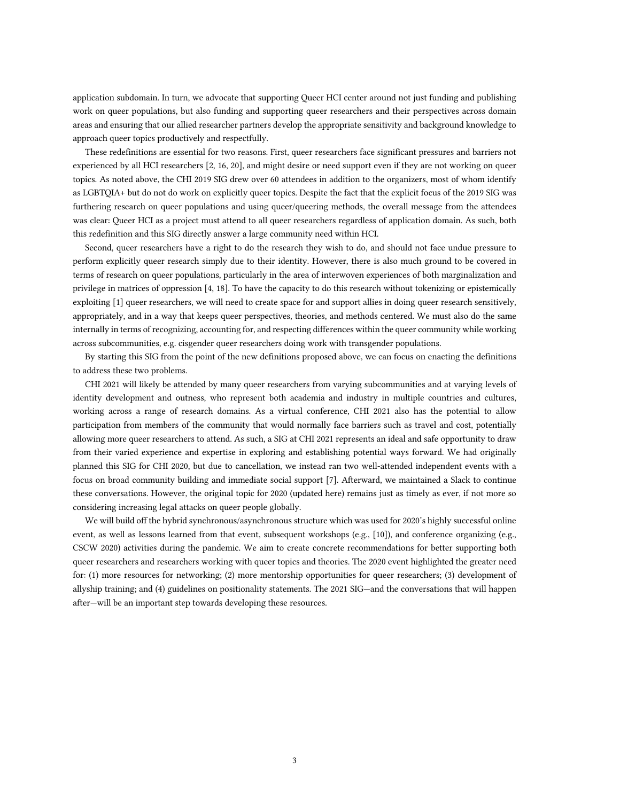application subdomain. In turn, we advocate that supporting Queer HCI center around not just funding and publishing work on queer populations, but also funding and supporting queer researchers and their perspectives across domain areas and ensuring that our allied researcher partners develop the appropriate sensitivity and background knowledge to approach queer topics productively and respectfully.

These redefinitions are essential for two reasons. First, queer researchers face significant pressures and barriers not experienced by all HCI researchers [2, 16, 20], and might desire or need support even if they are not working on queer topics. As noted above, the CHI 2019 SIG drew over 60 attendees in addition to the organizers, most of whom identify as LGBTQIA+ but do not do work on explicitly queer topics. Despite the fact that the explicit focus of the 2019 SIG was furthering research on queer populations and using queer/queering methods, the overall message from the attendees was clear: Queer HCI as a project must attend to all queer researchers regardless of application domain. As such, both this redefinition and this SIG directly answer a large community need within HCI.

Second, queer researchers have a right to do the research they wish to do, and should not face undue pressure to perform explicitly queer research simply due to their identity. However, there is also much ground to be covered in terms of research on queer populations, particularly in the area of interwoven experiences of both marginalization and privilege in matrices of oppression [4, 18]. To have the capacity to do this research without tokenizing or epistemically exploiting [1] queer researchers, we will need to create space for and support allies in doing queer research sensitively, appropriately, and in a way that keeps queer perspectives, theories, and methods centered. We must also do the same internally in terms of recognizing, accounting for, and respecting differences within the queer community while working across subcommunities, e.g. cisgender queer researchers doing work with transgender populations.

By starting this SIG from the point of the new definitions proposed above, we can focus on enacting the definitions to address these two problems.

CHI 2021 will likely be attended by many queer researchers from varying subcommunities and at varying levels of identity development and outness, who represent both academia and industry in multiple countries and cultures, working across a range of research domains. As a virtual conference, CHI 2021 also has the potential to allow participation from members of the community that would normally face barriers such as travel and cost, potentially allowing more queer researchers to attend. As such, a SIG at CHI 2021 represents an ideal and safe opportunity to draw from their varied experience and expertise in exploring and establishing potential ways forward. We had originally planned this SIG for CHI 2020, but due to cancellation, we instead ran two well-attended independent events with a focus on broad community building and immediate social support [7]. Afterward, we maintained a Slack to continue these conversations. However, the original topic for 2020 (updated here) remains just as timely as ever, if not more so considering increasing legal attacks on queer people globally.

We will build off the hybrid synchronous/asynchronous structure which was used for 2020's highly successful online event, as well as lessons learned from that event, subsequent workshops (e.g., [10]), and conference organizing (e.g., CSCW 2020) activities during the pandemic. We aim to create concrete recommendations for better supporting both queer researchers and researchers working with queer topics and theories. The 2020 event highlighted the greater need for: (1) more resources for networking; (2) more mentorship opportunities for queer researchers; (3) development of allyship training; and (4) guidelines on positionality statements. The 2021 SIG—and the conversations that will happen after—will be an important step towards developing these resources.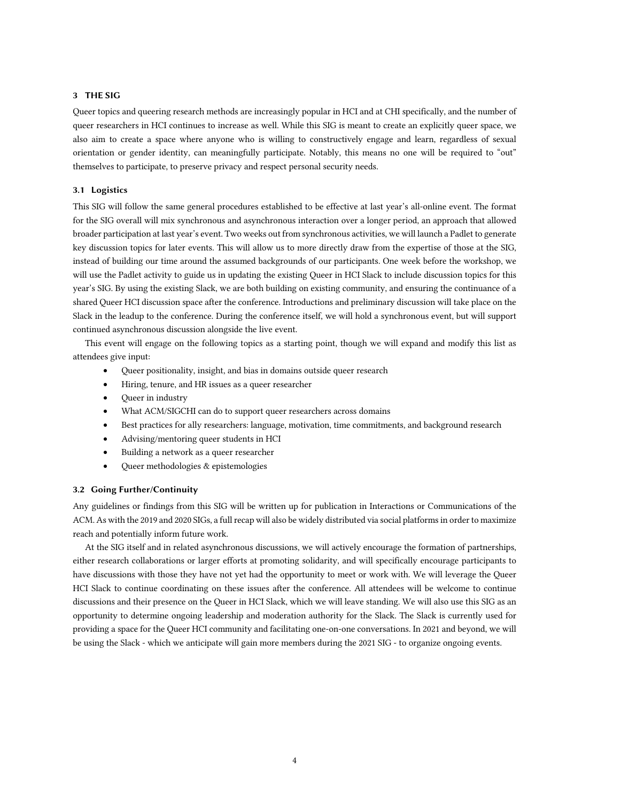## 3 THE SIG

Queer topics and queering research methods are increasingly popular in HCI and at CHI specifically, and the number of queer researchers in HCI continues to increase as well. While this SIG is meant to create an explicitly queer space, we also aim to create a space where anyone who is willing to constructively engage and learn, regardless of sexual orientation or gender identity, can meaningfully participate. Notably, this means no one will be required to "out" themselves to participate, to preserve privacy and respect personal security needs.

#### 3.1 Logistics

This SIG will follow the same general procedures established to be effective at last year's all-online event. The format for the SIG overall will mix synchronous and asynchronous interaction over a longer period, an approach that allowed broader participation at last year's event. Two weeks out from synchronous activities, we will launch a Padlet to generate key discussion topics for later events. This will allow us to more directly draw from the expertise of those at the SIG, instead of building our time around the assumed backgrounds of our participants. One week before the workshop, we will use the Padlet activity to guide us in updating the existing Queer in HCI Slack to include discussion topics for this year's SIG. By using the existing Slack, we are both building on existing community, and ensuring the continuance of a shared Queer HCI discussion space after the conference. Introductions and preliminary discussion will take place on the Slack in the leadup to the conference. During the conference itself, we will hold a synchronous event, but will support continued asynchronous discussion alongside the live event.

This event will engage on the following topics as a starting point, though we will expand and modify this list as attendees give input:

- Queer positionality, insight, and bias in domains outside queer research
- Hiring, tenure, and HR issues as a queer researcher
- Queer in industry
- What ACM/SIGCHI can do to support queer researchers across domains
- Best practices for ally researchers: language, motivation, time commitments, and background research
- Advising/mentoring queer students in HCI
- Building a network as a queer researcher
- Queer methodologies & epistemologies

#### 3.2 Going Further/Continuity

Any guidelines or findings from this SIG will be written up for publication in Interactions or Communications of the ACM. As with the 2019 and 2020 SIGs, a full recap will also be widely distributed via social platforms in order to maximize reach and potentially inform future work.

At the SIG itself and in related asynchronous discussions, we will actively encourage the formation of partnerships, either research collaborations or larger efforts at promoting solidarity, and will specifically encourage participants to have discussions with those they have not yet had the opportunity to meet or work with. We will leverage the Queer HCI Slack to continue coordinating on these issues after the conference. All attendees will be welcome to continue discussions and their presence on the Queer in HCI Slack, which we will leave standing. We will also use this SIG as an opportunity to determine ongoing leadership and moderation authority for the Slack. The Slack is currently used for providing a space for the Queer HCI community and facilitating one-on-one conversations. In 2021 and beyond, we will be using the Slack - which we anticipate will gain more members during the 2021 SIG - to organize ongoing events.